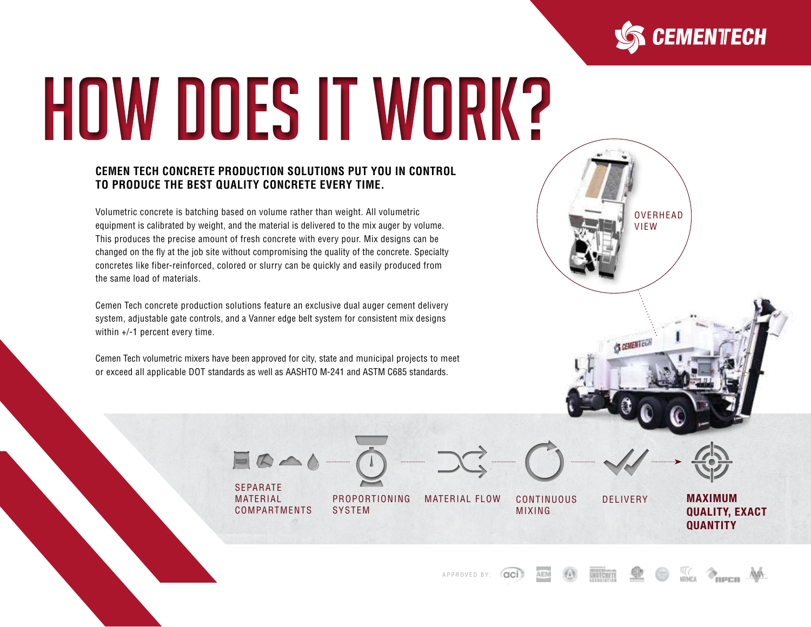

OVERHEAD VIEW

## HOW DOES IT WORK?

## **CEMEN TECH CONCRETE PRODUCTION SOLUTIONS PUT YOU IN CONTROL TO PRODUCE THE BEST QUALITY CONCRETE EVERY TIME.**

Volumetric concrete is batching based on volume rather than weight. All volumetric equipment is calibrated by weight, and the material is delivered to the mix auger by volume. This produces the precise amount of fresh concrete with every pour. Mix designs can be changed on the fly at the job site without compromising the quality of the concrete. Specialty concretes like fiber-reinforced, colored or slurry can be quickly and easily produced from the same load of materials.

Cemen Tech concrete production solutions feature an exclusive dual auger cement delivery system, adjustable gate controls, and a Vanner edge belt system for consistent mix designs within +/-1 percent every time.

Cemen Tech volumetric mixers have been approved for city, state and municipal projects to meet or exceed all applicable DOT standards as well as AASHTO M-241 and ASTM C685 standards.

> $F_{\odot}$ SEPARATE

MATERIAL COMPARTMENTS

PROPORTIONING **SYSTEM** MATERIAL FLOW

APPROVED BY:

(aci

CONTINUOUS MIXING

DELIVERY **MAXIMUM** 

**QUALITY, EXACT QUANTITY**